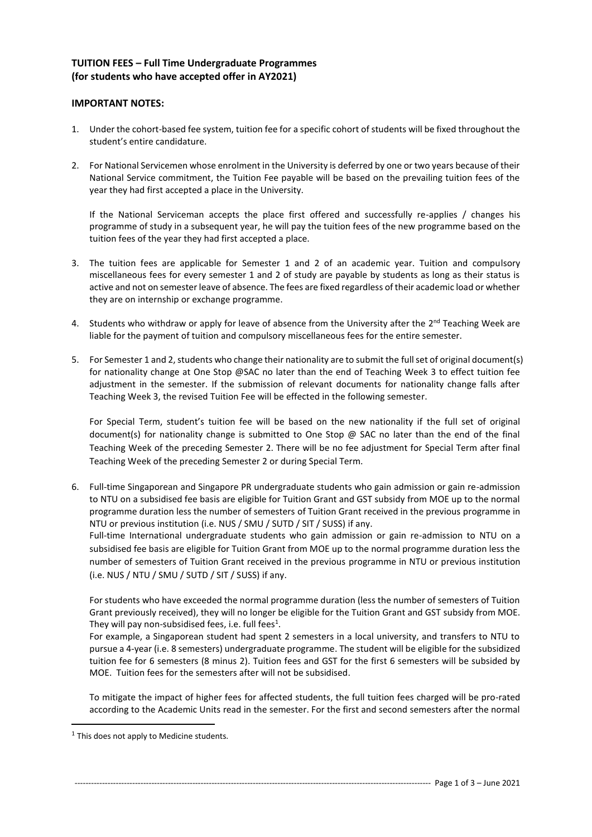## **TUITION FEES – Full Time Undergraduate Programmes (for students who have accepted offer in AY2021)**

## **IMPORTANT NOTES:**

- 1. Under the cohort-based fee system, tuition fee for a specific cohort of students will be fixed throughout the student's entire candidature.
- 2. For National Servicemen whose enrolment in the University is deferred by one or two years because of their National Service commitment, the Tuition Fee payable will be based on the prevailing tuition fees of the year they had first accepted a place in the University.

If the National Serviceman accepts the place first offered and successfully re-applies / changes his programme of study in a subsequent year, he will pay the tuition fees of the new programme based on the tuition fees of the year they had first accepted a place.

- 3. The tuition fees are applicable for Semester 1 and 2 of an academic year. Tuition and compulsory miscellaneous fees for every semester 1 and 2 of study are payable by students as long as their status is active and not on semester leave of absence. The fees are fixed regardless of their academic load or whether they are on internship or exchange programme.
- 4. Students who withdraw or apply for leave of absence from the University after the 2<sup>nd</sup> Teaching Week are liable for the payment of tuition and compulsory miscellaneous fees for the entire semester.
- 5. For Semester 1 and 2, students who change their nationality are to submit the full set of original document(s) for nationality change at One Stop @SAC no later than the end of Teaching Week 3 to effect tuition fee adjustment in the semester. If the submission of relevant documents for nationality change falls after Teaching Week 3, the revised Tuition Fee will be effected in the following semester.

For Special Term, student's tuition fee will be based on the new nationality if the full set of original document(s) for nationality change is submitted to One Stop  $\omega$  SAC no later than the end of the final Teaching Week of the preceding Semester 2. There will be no fee adjustment for Special Term after final Teaching Week of the preceding Semester 2 or during Special Term.

6. Full-time Singaporean and Singapore PR undergraduate students who gain admission or gain re-admission to NTU on a subsidised fee basis are eligible for Tuition Grant and GST subsidy from MOE up to the normal programme duration less the number of semesters of Tuition Grant received in the previous programme in NTU or previous institution (i.e. NUS / SMU / SUTD / SIT / SUSS) if any.

Full-time International undergraduate students who gain admission or gain re-admission to NTU on a subsidised fee basis are eligible for Tuition Grant from MOE up to the normal programme duration less the number of semesters of Tuition Grant received in the previous programme in NTU or previous institution (i.e. NUS / NTU / SMU / SUTD / SIT / SUSS) if any.

For students who have exceeded the normal programme duration (less the number of semesters of Tuition Grant previously received), they will no longer be eligible for the Tuition Grant and GST subsidy from MOE. They will pay non-subsidised fees, i.e. full fees<sup>1</sup>.

For example, a Singaporean student had spent 2 semesters in a local university, and transfers to NTU to pursue a 4-year (i.e. 8 semesters) undergraduate programme. The student will be eligible for the subsidized tuition fee for 6 semesters (8 minus 2). Tuition fees and GST for the first 6 semesters will be subsided by MOE. Tuition fees for the semesters after will not be subsidised.

To mitigate the impact of higher fees for affected students, the full tuition fees charged will be pro-rated according to the Academic Units read in the semester. For the first and second semesters after the normal

 $<sup>1</sup>$  This does not apply to Medicine students.</sup>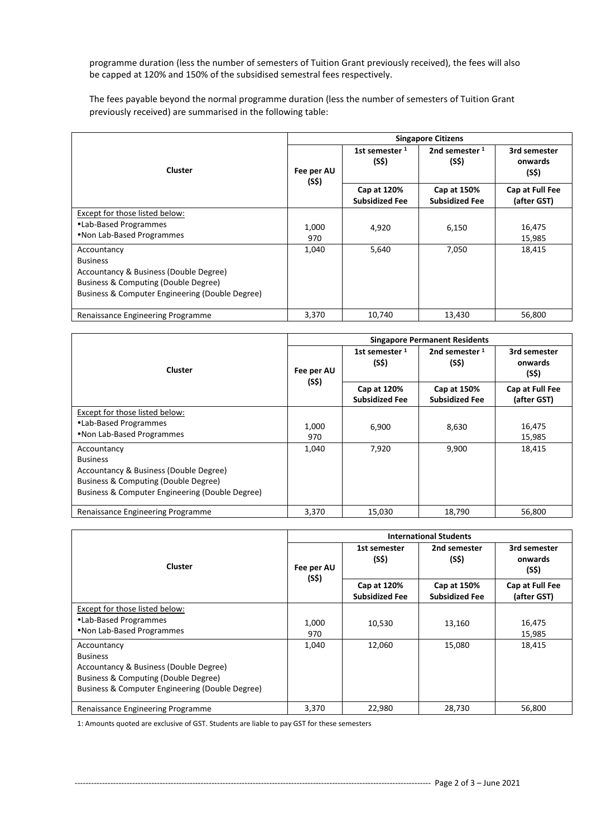programme duration (less the number of semesters of Tuition Grant previously received), the fees will also be capped at 120% and 150% of the subsidised semestral fees respectively.

The fees payable beyond the normal programme duration (less the number of semesters of Tuition Grant previously received) are summarised in the following table:

|                                                                                                                                                                     | <b>Singapore Citizens</b> |                                      |                                      |                                  |
|---------------------------------------------------------------------------------------------------------------------------------------------------------------------|---------------------------|--------------------------------------|--------------------------------------|----------------------------------|
| <b>Cluster</b>                                                                                                                                                      | Fee per AU<br>(S\$)       | 1st semester <sup>1</sup><br>(S\$)   | 2nd semester $1$<br>(S\$)            | 3rd semester<br>onwards<br>(S\$) |
|                                                                                                                                                                     |                           | Cap at 120%<br><b>Subsidized Fee</b> | Cap at 150%<br><b>Subsidized Fee</b> | Cap at Full Fee<br>(after GST)   |
| Except for those listed below:<br>•Lab-Based Programmes<br>. Non Lab-Based Programmes                                                                               | 1,000<br>970              | 4,920                                | 6,150                                | 16,475<br>15,985                 |
| Accountancy<br><b>Business</b><br>Accountancy & Business (Double Degree)<br>Business & Computing (Double Degree)<br>Business & Computer Engineering (Double Degree) | 1,040                     | 5,640                                | 7,050                                | 18,415                           |
| Renaissance Engineering Programme                                                                                                                                   | 3,370                     | 10.740                               | 13.430                               | 56,800                           |

| Cluster                                                                                                                                                             | <b>Singapore Permanent Residents</b> |                                      |                                      |                                  |
|---------------------------------------------------------------------------------------------------------------------------------------------------------------------|--------------------------------------|--------------------------------------|--------------------------------------|----------------------------------|
|                                                                                                                                                                     | Fee per AU<br>(S\$)                  | 1st semester $1$<br>(S\$)            | 2nd semester $1$<br>(S\$)            | 3rd semester<br>onwards<br>(S\$) |
|                                                                                                                                                                     |                                      | Cap at 120%<br><b>Subsidized Fee</b> | Cap at 150%<br><b>Subsidized Fee</b> | Cap at Full Fee<br>(after GST)   |
| Except for those listed below:<br>•Lab-Based Programmes<br>. Non Lab-Based Programmes                                                                               | 1,000<br>970                         | 6,900                                | 8,630                                | 16,475<br>15,985                 |
| Accountancy<br><b>Business</b><br>Accountancy & Business (Double Degree)<br>Business & Computing (Double Degree)<br>Business & Computer Engineering (Double Degree) | 1,040                                | 7,920                                | 9,900                                | 18,415                           |
| Renaissance Engineering Programme                                                                                                                                   | 3,370                                | 15,030                               | 18,790                               | 56,800                           |

| <b>Cluster</b>                                                                                                                                                      | <b>International Students</b> |                                      |                                      |                                  |
|---------------------------------------------------------------------------------------------------------------------------------------------------------------------|-------------------------------|--------------------------------------|--------------------------------------|----------------------------------|
|                                                                                                                                                                     | Fee per AU<br>(S\$)           | 1st semester<br>(S\$)                | 2nd semester<br>(S\$)                | 3rd semester<br>onwards<br>(S\$) |
|                                                                                                                                                                     |                               | Cap at 120%<br><b>Subsidized Fee</b> | Cap at 150%<br><b>Subsidized Fee</b> | Cap at Full Fee<br>(after GST)   |
| Except for those listed below:<br>•Lab-Based Programmes<br>.Non Lab-Based Programmes                                                                                | 1,000<br>970                  | 10,530                               | 13,160                               | 16,475<br>15,985                 |
| Accountancy<br><b>Business</b><br>Accountancy & Business (Double Degree)<br>Business & Computing (Double Degree)<br>Business & Computer Engineering (Double Degree) | 1,040                         | 12,060                               | 15,080                               | 18,415                           |
| Renaissance Engineering Programme                                                                                                                                   | 3,370                         | 22,980                               | 28.730                               | 56,800                           |

1: Amounts quoted are exclusive of GST. Students are liable to pay GST for these semesters